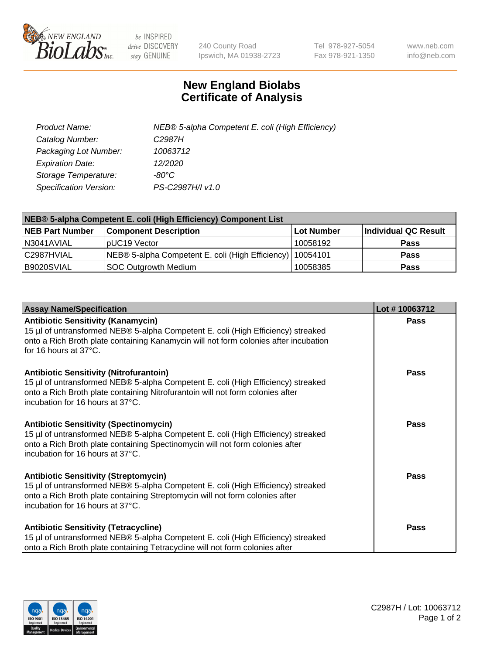

 $be$  INSPIRED drive DISCOVERY stay GENUINE

240 County Road Ipswich, MA 01938-2723 Tel 978-927-5054 Fax 978-921-1350 www.neb.com info@neb.com

## **New England Biolabs Certificate of Analysis**

| Product Name:           | NEB® 5-alpha Competent E. coli (High Efficiency) |
|-------------------------|--------------------------------------------------|
| Catalog Number:         | C <sub>2987</sub> H                              |
| Packaging Lot Number:   | 10063712                                         |
| <b>Expiration Date:</b> | 12/2020                                          |
| Storage Temperature:    | -80°C                                            |
| Specification Version:  | PS-C2987H/I v1.0                                 |

| NEB® 5-alpha Competent E. coli (High Efficiency) Component List |                                                             |                   |                      |  |
|-----------------------------------------------------------------|-------------------------------------------------------------|-------------------|----------------------|--|
| <b>NEB Part Number</b>                                          | <b>Component Description</b>                                | <b>Lot Number</b> | Individual QC Result |  |
| N3041AVIAL                                                      | pUC19 Vector                                                | 10058192          | <b>Pass</b>          |  |
| C2987HVIAL                                                      | NEB® 5-alpha Competent E. coli (High Efficiency)   10054101 |                   | <b>Pass</b>          |  |
| B9020SVIAL                                                      | SOC Outgrowth Medium                                        | 10058385          | <b>Pass</b>          |  |

| <b>Assay Name/Specification</b>                                                                                                                                                                                                                          | Lot #10063712 |
|----------------------------------------------------------------------------------------------------------------------------------------------------------------------------------------------------------------------------------------------------------|---------------|
| <b>Antibiotic Sensitivity (Kanamycin)</b><br>15 µl of untransformed NEB® 5-alpha Competent E. coli (High Efficiency) streaked<br>onto a Rich Broth plate containing Kanamycin will not form colonies after incubation<br>for 16 hours at 37°C.           | Pass          |
| <b>Antibiotic Sensitivity (Nitrofurantoin)</b><br>15 µl of untransformed NEB® 5-alpha Competent E. coli (High Efficiency) streaked<br>onto a Rich Broth plate containing Nitrofurantoin will not form colonies after<br>Incubation for 16 hours at 37°C. | <b>Pass</b>   |
| <b>Antibiotic Sensitivity (Spectinomycin)</b><br>15 µl of untransformed NEB® 5-alpha Competent E. coli (High Efficiency) streaked<br>onto a Rich Broth plate containing Spectinomycin will not form colonies after<br>incubation for 16 hours at 37°C.   | Pass          |
| <b>Antibiotic Sensitivity (Streptomycin)</b><br>15 µl of untransformed NEB® 5-alpha Competent E. coli (High Efficiency) streaked<br>onto a Rich Broth plate containing Streptomycin will not form colonies after<br>l incubation for 16 hours at 37°C.   | <b>Pass</b>   |
| <b>Antibiotic Sensitivity (Tetracycline)</b><br>15 µl of untransformed NEB® 5-alpha Competent E. coli (High Efficiency) streaked<br>onto a Rich Broth plate containing Tetracycline will not form colonies after                                         | <b>Pass</b>   |